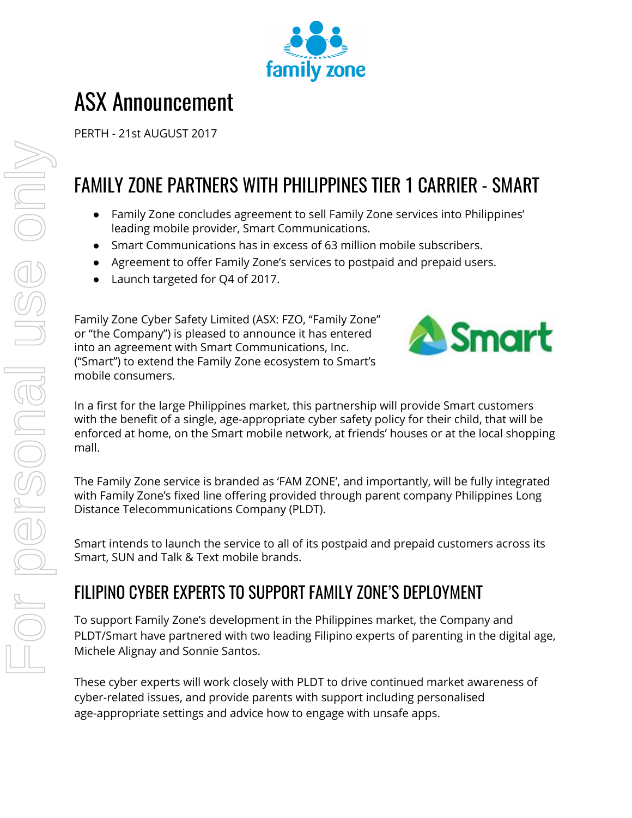

# ASX Announcement

PERTH - 21st AUGUST 2017

## FAMILY ZONE PARTNERS WITH PHILIPPINES TIER 1 CARRIER - SMART

- Family Zone concludes agreement to sell Family Zone services into Philippines' leading mobile provider, Smart Communications.
- Smart Communications has in excess of 63 million mobile subscribers.
- Agreement to offer Family Zone's services to postpaid and prepaid users.
- Launch targeted for Q4 of 2017.

Family Zone Cyber Safety Limited (ASX: FZO, "Family Zone" or "the Company") is pleased to announce it has entered into an agreement with Smart Communications, Inc. ("Smart") to extend the Family Zone ecosystem to Smart's mobile consumers.



In a first for the large Philippines market, this partnership will provide Smart customers with the benefit of a single, age-appropriate cyber safety policy for their child, that will be enforced at home, on the Smart mobile network, at friends' houses or at the local shopping mall.

The Family Zone service is branded as 'FAM ZONE', and importantly, will be fully integrated with Family Zone's fixed line offering provided through parent company Philippines Long Distance Telecommunications Company (PLDT).

Smart intends to launch the service to all of its postpaid and prepaid customers across its Smart, SUN and Talk & Text mobile brands.

### FILIPINO CYBER EXPERTS TO SUPPORT FAMILY ZONE'S DEPLOYMENT

To support Family Zone's development in the Philippines market, the Company and PLDT/Smart have partnered with two leading Filipino experts of parenting in the digital age, Michele Alignay and Sonnie Santos.

These cyber experts will work closely with PLDT to drive continued market awareness of cyber-related issues, and provide parents with support including personalised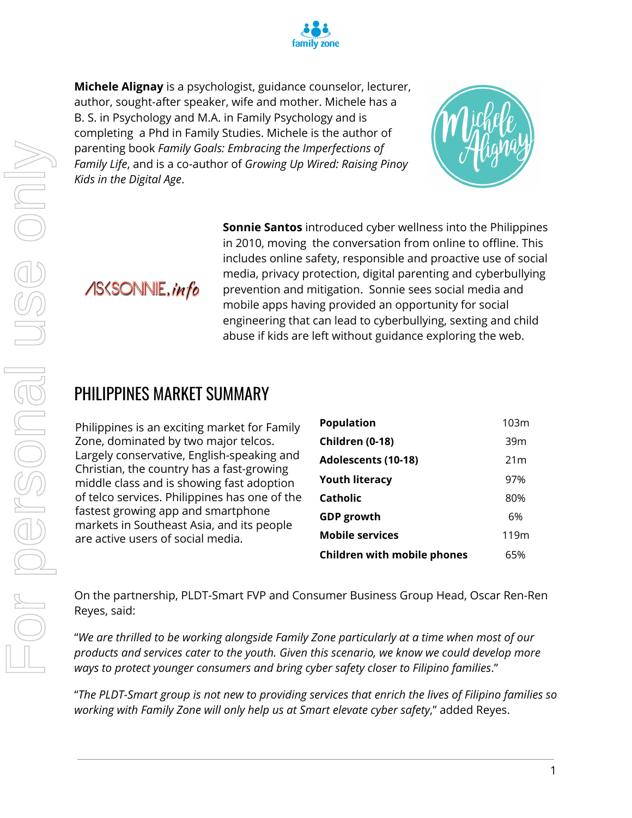

**Michele Alignay** is a psychologist, guidance counselor, lecturer, author, sought-after speaker, wife and mother. Michele has a B. S. in Psychology and M.A. in Family Psychology and is completing a Phd in Family Studies. Michele is the author of parenting book *Family Goals: Embracing the Imperfections of Family Life*, and is a co-author of *Growing Up Wired: Raising Pinoy Kids in the Digital Age*.



**ASSSONNIE**, info

**Sonnie Santos** introduced cyber wellness into the Philippines in 2010, moving the conversation from online to offline. This includes online safety, responsible and proactive use of social media, privacy protection, digital parenting and cyberbullying prevention and mitigation. Sonnie sees social media and mobile apps having provided an opportunity for social engineering that can lead to cyberbullying, sexting and child abuse if kids are left without guidance exploring the web.

#### PHILIPPINES MARKET SUMMARY

Philippines is an exciting market for Family Zone, dominated by two major telcos. Largely conservative, English-speaking and Christian, the country has a fast-growing middle class and is showing fast adoption of telco services. Philippines has one of the fastest growing app and smartphone markets in Southeast Asia, and its people are active users of social media.

| <b>Population</b>                  | 103m |
|------------------------------------|------|
| Children (0-18)                    | 39m  |
| <b>Adolescents (10-18)</b>         | 21 m |
| <b>Youth literacy</b>              | 97%  |
| Catholic                           | 80%  |
| <b>GDP</b> growth                  | 6%   |
| <b>Mobile services</b>             | 119m |
| <b>Children with mobile phones</b> | 65%  |

On the partnership, PLDT-Smart FVP and Consumer Business Group Head, Oscar Ren-Ren Reyes, said:

"*We are thrilled to be working alongside Family Zone particularly at a time when most of our products and services cater to the youth. Given this scenario, we know we could develop more ways to protect younger consumers and bring cyber safety closer to Filipino families*."

"*The PLDT-Smart group is not new to providing services that enrich the lives of Filipino families so working with Family Zone will only help us at Smart elevate cyber safety*," added Reyes.